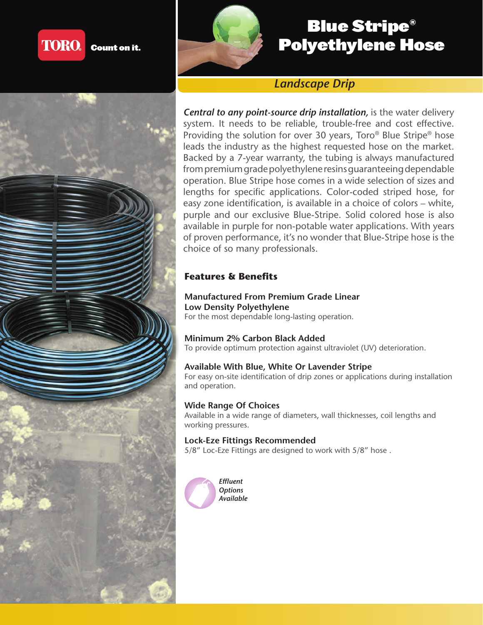



# Blue Stripe® Polyethylene Hose

# *Landscape Drip*

*Central to any point-source drip installation, is the water delivery* system. It needs to be reliable, trouble-free and cost effective. Providing the solution for over 30 years, Toro® Blue Stripe® hose leads the industry as the highest requested hose on the market. Backed by a 7-year warranty, the tubing is always manufactured from premium grade polyethylene resins guaranteeing dependable operation. Blue Stripe hose comes in a wide selection of sizes and lengths for specific applications. Color-coded striped hose, for easy zone identification, is available in a choice of colors – white, purple and our exclusive Blue-Stripe. Solid colored hose is also available in purple for non-potable water applications. With years of proven performance, it's no wonder that Blue-Stripe hose is the choice of so many professionals.

## **Features & Benefits**

## **Manufactured From Premium Grade Linear Low Density Polyethylene**

For the most dependable long-lasting operation.

## **Minimum 2% Carbon Black Added**

To provide optimum protection against ultraviolet (UV) deterioration.

#### **Available With Blue, White Or Lavender Stripe**

For easy on-site identification of drip zones or applications during installation and operation.

#### **Wide Range Of Choices**

Available in a wide range of diameters, wall thicknesses, coil lengths and working pressures.

#### **Lock-Eze Fittings Recommended**

5/8" Loc-Eze Fittings are designed to work with 5/8" hose .